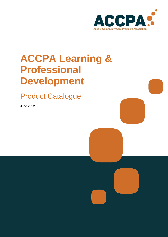

# **ACCPA Learning & Professional Development**

<span id="page-0-0"></span>Product Catalogue

June 2022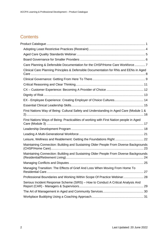# **Contents**

| Care Planning & Defensible Documentation for the CHSP/Home Care Workforce 7             |  |
|-----------------------------------------------------------------------------------------|--|
| Clinical Care Planning Principles & Defensible Documentation for RNs and EENs in Aged   |  |
|                                                                                         |  |
|                                                                                         |  |
|                                                                                         |  |
|                                                                                         |  |
| EX - Employee Experience: Creating Employer of Choice Cultures 14                       |  |
|                                                                                         |  |
| First Nations Way of Being: Cultural Safety and Understanding in Aged Care (Module 1 &  |  |
| First Nations Ways of Being: Practicalities of working with First Nation people in Aged |  |
|                                                                                         |  |
|                                                                                         |  |
| Leisure, Wellness and Reablement: Getting the Foundations Right  22                     |  |
| Maintaining Connection: Building and Sustaining Older People From Diverse Backgrounds   |  |
| Maintaining Connection: Building and Sustaining Older People From Diverse Backgrounds   |  |
|                                                                                         |  |
| Managing Transition: The Effects of Grief And Loss When Moving From Home To             |  |
| Professional Boundaries and Working Within Scope Of Practice Webinar 28                 |  |
| Serious Incident Response Scheme (SIRS) - How to Conduct A Critical Analysis And        |  |
|                                                                                         |  |
|                                                                                         |  |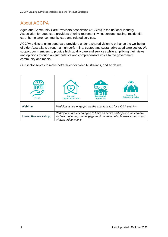# About ACCPA

Aged and Community Care Providers Association (ACCPA) is the national Industry Association for aged care providers offering retirement living, seniors housing, residential care, home care, community care and related services.

ACCPA exists to unite aged care providers under a shared vision to enhance the wellbeing of older Australians through a high performing, trusted and sustainable aged care sector. We support our members to provide high quality care and services while amplifying their views and opinions through an authoritative and comprehensive voice to the government, community and media.

Our sector serves to make better lives for older Australians, and so do we.

| <b>CHSP</b>                 | Home &<br><b>Community Care</b>                                                                                                                                        | <b>Residential</b><br><b>Aged Care</b> | <b>Housing &amp;</b><br><b>Retirement Living</b> |
|-----------------------------|------------------------------------------------------------------------------------------------------------------------------------------------------------------------|----------------------------------------|--------------------------------------------------|
| Webinar                     | Participants are engaged via the chat function for a Q&A session.                                                                                                      |                                        |                                                  |
| <b>Interactive workshop</b> | Participants are encouraged to have an active participation via camera<br>and microphones, chat engagement, session polls, breakout rooms and<br>whiteboard functions. |                                        |                                                  |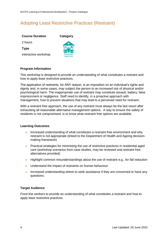# <span id="page-3-0"></span>Adopting Least Restrictive Practices (Restraint)

**Category**

**Course Duration**

2 hours

**Type**

Interactive workshop



#### **Program Information**

This workshop is designed to provide an understanding of what constitutes a restraint and how to apply least restrictive practices.

The application of restraints, for ANY reason, is an imposition on an individual's rights and dignity and, in some cases, may subject the person to an increased risk of physical and/or psychological harm. The inappropriate use of restraint may constitute assault, battery, false imprisonment or negligence. Staff need to identify, in a proactive approach with management, how to prevent situations that may lead to a perceived need for restraint.

With a restraint free approach, the use of any restraint must always be the last resort after exhausting all reasonable alternative management options. A way to ensure the safety of residents is not compromised, is to know what restraint free options are available.

#### **Learning Outcomes**

- Increased understanding of what constitutes a restraint-free environment and why restraint is not appropriate (linked to the Department of Health and Ageing decisionmaking framework)
- Practical strategies for minimising the use of restrictive practices in residential aged care (workshop scenarios from case studies, may be reviewed and restraint free alternatives provided)
- Highlight common misunderstandings about the use of restraint e.g., for fall reduction
- Understand the impact of restraints on human behaviour
- Increased understanding where to seek assistance if they are concerned or have any questions.

#### **Target Audience**

Front line workers to provide an understanding of what constitutes a restraint and how to apply least restrictive practices.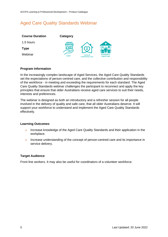# <span id="page-4-0"></span>Aged Care Quality Standards Webinar

| <b>Course Duration</b> | Category      |                                 |                                        |
|------------------------|---------------|---------------------------------|----------------------------------------|
| 1.5 hours              | $T\mathbb{D}$ |                                 |                                        |
| Type                   |               |                                 |                                        |
| Webinar                | <b>CHSP</b>   | Home &<br><b>Community Care</b> | <b>Residential</b><br><b>Aged Care</b> |

#### **Program Information**

In the increasingly complex landscape of Aged Services, the Aged Care Quality Standards set the expectations of person-centred care, and the collective contribution and responsibility of the workforce - in meeting and exceeding the requirements for each standard. The Aged Care Quality Standards webinar challenges the participant to reconnect and apply the key principles that ensure that older Australians receive aged care services to suit their needs, interests and preferences.

The webinar is designed as both an introductory and a refresher session for all people involved in the delivery of quality and safe care, that all older Australians deserve. It will support your workforce to understand and implement the Aged Care Quality Standards effectively.

#### **Learning Outcomes**

- Increase knowledge of the Aged Care Quality Standards and their application in the workplace.
- Increase understanding of the concept of person-centred care and its importance in service delivery.

#### **Target Audience**

Front line workers. It may also be useful for coordinators of a volunteer workforce.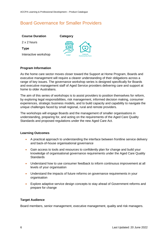## <span id="page-5-0"></span>Board Governance for Smaller Providers

| <b>Course Duration</b> | <b>Category</b>                                |  |
|------------------------|------------------------------------------------|--|
| 2 x 2 hours            | 7MW                                            |  |
| <b>Type</b>            |                                                |  |
| Interactive workshop   | Home &<br><b>CHSP</b><br><b>Community Care</b> |  |
|                        |                                                |  |

#### **Program Information**

As the home care sector moves closer toward the Support at Home Program, Boards and executive management will require a clearer understanding of their obligations across a range of key issues. The governance workshop series is designed specifically for Boards and executive management staff of Aged Service providers delivering care and support at home to older Australians.

The aim of this series of workshops is to assist providers to position themselves for reform, by exploring legal responsibilities, risk management, informed decision making, consumer experiences, strategic business models, and to build capacity and capability to navigate the unique challenges faced by small regional, rural and remote providers.

The workshops will engage Boards and the management of smaller organisations in understanding, preparing for, and acting on the requirements of the Aged Care Quality Standards and proposed regulations under the new Aged Care Act.

#### **Learning Outcomes**

- A practical approach to understanding the interface between frontline service delivery and back-of-house organisational governance
- Gain access to tools and resources to confidently plan for change and build your knowledge of organisational governance requirements under the Aged Care Quality **Standards**
- Understand how to use consumer feedback to inform continuous improvement at all levels of your organisation
- Understand the impacts of future reforms on governance requirements in your organisation
- Explore adaptive service design concepts to stay ahead of Government reforms and prepare for change

#### **Target Audience**

Board members, senior management, executive management, quality and risk managers.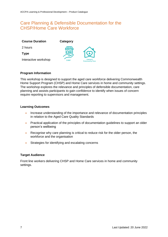## <span id="page-6-0"></span>Care Planning & Defensible Documentation for the CHSP/Home Care Workforce

| <b>Course Duration</b> | Category         |                                 |
|------------------------|------------------|---------------------------------|
| 2 hours                | $T\Gamma \Gamma$ |                                 |
| Type                   |                  | 1(4)                            |
| Interactive workshop   | <b>CHSP</b>      | Home &<br><b>Community Care</b> |

#### **Program Information**

This workshop is designed to support the aged care workforce delivering Commonwealth Home Support Program (CHSP) and Home Care services in home and community settings. The workshop explores the relevance and principles of defensible documentation, care planning and assists participants to gain confidence to identify when issues of concern require reporting to supervisors and management.

#### **Learning Outcomes**

- Increase understanding of the importance and relevance of documentation principles in relation to the Aged Care Quality Standards
- Practical application of the principles of documentation guidelines to support an older person's wellbeing
- Recognise why care planning is critical to reduce risk for the older person, the workforce and the organisation
- Strategies for identifying and escalating concerns

#### **Target Audience**

Front line workers delivering CHSP and Home Care services in home and community settings.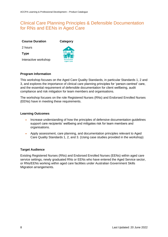# <span id="page-7-0"></span>Clinical Care Planning Principles & Defensible Documentation for RNs and EENs in Aged Care

2 hours

**Type**

Interactive workshop



**Category**

#### **Program Information**

This workshop focuses on the Aged Care Quality Standards, in particular Standards 1, 2 and 3, and explores the importance of clinical care planning principles for 'person-centred' care, and the essential requirement of defensible documentation for client wellbeing, audit compliance and risk mitigation for team members and organisations.

The workshop focuses on the role Registered Nurses (RNs) and Endorsed Enrolled Nurses (EENs) have in meeting these requirements.

#### **Learning Outcomes**

- Increase understanding of how the principles of defensive documentation guidelines support care recipients' wellbeing and mitigates risk for team members and organisations.
- Apply assessment, care planning, and documentation principles relevant to Aged Care Quality Standards 1, 2, and 3. (Using case studies provided in the workshop)

#### **Target Audience**

Existing Registered Nurses (RNs) and Endorsed Enrolled Nurses (EENs) within aged care service settings, newly graduated RNs or EENs who have entered the Aged Service sector, or RNs/EENs working within aged care facilities under Australian Government Skills Migration arrangements.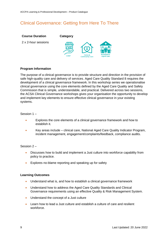# <span id="page-8-0"></span>Clinical Governance: Getting from Here To There



#### **Program Information**

The purpose of a clinical governance is to provide structure and direction in the provision of safe high-quality care and delivery of services. Aged Care Quality Standard 8 requires the development of a clinical governance framework. In this workshop series we operationalise clinical governance using the core elements defined by the Aged Care Quality and Safety Commission that is simple, understandable, and practical. Delivered across two sessions, the ACSA Clinical Governance workshops gives your organisation the opportunity to develop and implement key elements to ensure effective clinical governance in your existing systems.

Session 1 –

- Explores the core elements of a clinical governance framework and how to establish it.
- Key areas include clinical care, National Aged Care Quality Indicator Program, incident management, engagement/complaints/feedback, compliance audits.

#### Session 2 –

- Discusses how to build and implement a Just culture into workforce capability from policy to practice.
- Explores no-blame reporting and speaking up for safety

#### **Learning Outcomes**

- Understand what is, and how to establish a clinical governance framework
- Understand how to address the Aged Care Quality Standards and Clinical Governance requirements using an effective Quality & Risk Management System.
- Understand the concept of a Just culture
- Learn how to lead a Just culture and establish a culture of care and resilient workforce.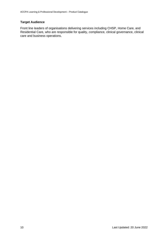#### **Target Audience**

<span id="page-9-0"></span>Front line leaders of organisations delivering services including CHSP, Home Care, and Residential Care, who are responsible for quality, compliance, clinical governance, clinical care and business operations.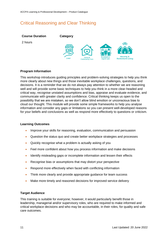# Critical Reasoning and Clear Thinking



#### **Program Information**

This workshop introduces guiding principles and problem-solving strategies to help you think more clearly about new things and those inevitable workplace challenges, questions, and decisions. It is a reminder that we do not always pay attention to whether we are reasoning well and will provide some basic techniques to help you think in a more clear-headed and critical way, recognise unstated assumptions and bias, appraise and evaluate evidence, and communicate with greater clarity and confidence. Critical thinking keeps us open to the possibility that we are mistaken, so we don't allow blind emotion or unconscious bias to cloud our thought. This module will provide some simple frameworks to help you analyse information and consider any gaps or limitations so you can present well-developed reasons for your beliefs and conclusions as well as respond more effectively to questions or criticism.

#### **Learning Outcomes**

- Improve your skills for reasoning, evaluation, communication and persuasion
- Question the status quo and create better workplace strategies and processes
- Quickly recognise what a problem is actually asking of you
- Feel more confident about how you process information and make decisions
- Identify misleading gaps or incomplete information and lessen their effects
- Recognise bias or assumptions that may distort your perspective
- Respond more effectively when faced with conflicting information
- Think more clearly and provide appropriate quidance for team success
- Make more timely and reasoned decisions for improved service delivery

#### **Target Audience**

This training is suitable for everyone; however, it would particularly benefit those in leadership, managerial and/or supervisory roles, who are required to make informed and critical workplace decisions and who may be accountable, in their roles, for quality and safe care outcomes.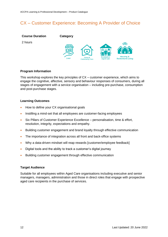# <span id="page-11-0"></span>CX – Customer Experience: Becoming A Provider of Choice



#### **Program Information**

This workshop explores the key principles of CX – customer experience, which aims to engage the cognitive, affective, sensory and behaviour responses of consumers, during all stages of engagement with a service organisation – including pre-purchase, consumption and post-purchase stages.

#### **Learning Outcomes**

- How to define your CX organisational goals
- Instilling a mind-set that all employees are customer-facing employees
- Six Pillars of Customer Experience Excellence personalisation, time & effort, resolution, integrity, expectations and empathy.
- Building customer engagement and brand loyalty through effective communication
- The importance of integration across all front and back-office systems
- Why a data-driven mindset will reap rewards [customer/employee feedback]
- Digital tools and the ability to track a customer's digital journey
- Building customer engagement through effective communication

#### **Target Audience**

Suitable for all employees within Aged Care organisations including executive and senior managers, managers, administration and those in direct roles that engage with prospective aged care recipients in the purchase of services.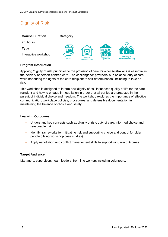# <span id="page-12-0"></span>Dignity of Risk



#### **Program Information**

Applying 'dignity of risk' principles to the provision of care for older Australians is essential in the delivery of person-centred care. The challenge for providers is to balance 'duty of care' while honouring the rights of the care recipient to self-determination, including to take on risk.

This workshop is designed to inform how dignity of risk influences quality of life for the care recipient and how to engage in negotiation in order that all parties are protected in the pursuit of individual choice and freedom. The workshop explores the importance of effective communication, workplace policies, procedures, and defensible documentation in maintaining the balance of choice and safety.

#### **Learning Outcomes**

- Understand key concepts such as dignity of risk, duty of care, informed choice and reasonable risk
- Identify frameworks for mitigating risk and supporting choice and control for older people (Using workshop case studies)
- Apply negotiation and conflict management skills to support win / win outcomes

#### **Target Audience**

Managers, supervisors, team leaders, front line workers including volunteers.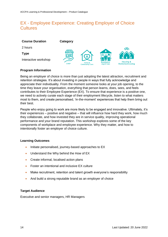# <span id="page-13-0"></span>EX - Employee Experience: Creating Employer of Choice **Cultures**

| <b>Course Duration</b> | Category                       |                                 |                                        |                                                  |
|------------------------|--------------------------------|---------------------------------|----------------------------------------|--------------------------------------------------|
| 2 hours                |                                |                                 |                                        |                                                  |
| <b>Type</b>            | $T\mathbb{I}\mathbb{N}$<br>IRŒ |                                 | ٠                                      |                                                  |
| Interactive workshop   | <b>CHSP</b>                    | Home &<br><b>Community Care</b> | <b>Residential</b><br><b>Aged Care</b> | <b>Housing &amp;</b><br><b>Retirement Living</b> |

#### **Program Information**

Being an employer of choice is more than just adopting the latest attraction, recruitment and retention strategies. It's about investing in people in ways that fully acknowledge and appreciate their individuality. From the moment someone looks at your job opening, to the time they leave your organisation, everything that person learns, does, sees, and feels contributes to their Employee Experience (EX). To ensure that experience is a positive one, we need to actively curate each stage of their employment lifecycle, listen to what matters most to them, and create personalised, 'in-the-moment' experiences that help them bring out their best.

People who enjoy going to work are more likely to be engaged and innovative. Ultimately, it's their experiences – positive and negative – that will influence how hard they work, how much they collaborate, and how invested they are in service quality, improving operational performance and your brand reputation. This workshop explores some of the key components of workplace and employee experience. Why they matter, and how to intentionally foster an employer of choice culture.

#### **Learning Outcomes**

- Initiate personalised, journey-based approaches to EX
- Understand the Why behind the How of EX
- Create informal, localised action plans
- Foster an intentional and inclusive EX culture
- Make recruitment, retention and talent growth everyone's responsibility
- And build a strong reputable brand as an employer of choice

#### **Target Audience**

Executive and senior managers, HR Managers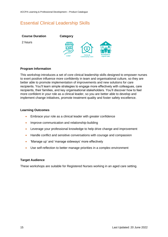# <span id="page-14-0"></span>Essential Clinical Leadership Skills



#### **Program Information**

This workshop introduces a set of core clinical leadership skills designed to empower nurses to exert positive influence more confidently in team and organisational culture, so they are better able to promote implementation of improvements and new solutions for care recipients. You'll learn simple strategies to engage more effectively with colleagues, care recipients, their families, and key organisational stakeholders. You'll discover how to feel more confident in your role as a clinical leader, so you are better able to develop and implement change initiatives, promote treatment quality and foster safety excellence.

#### **Learning Outcomes**

- Embrace your role as a clinical leader with greater confidence
- Improve communication and relationship-building
- Leverage your professional knowledge to help drive change and improvement
- Handle conflict and sensitive conversations with courage and compassion
- 'Manage up' and 'manage sideways' more effectively
- Use self-reflection to better manage priorities in a complex environment

#### **Target Audience**

These workshops are suitable for Registered Nurses working in an aged care setting.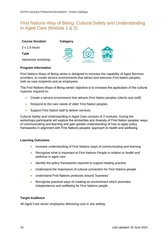# <span id="page-15-0"></span>First Nations Way of Being: Cultural Safety and Understanding in Aged Care (Module 1 & 2)

| <b>Course Duration</b> | Category    |                                 |                                        |
|------------------------|-------------|---------------------------------|----------------------------------------|
| $2 \times 1.5$ hours   | $T\!I\!N$   |                                 |                                        |
| <b>Type</b>            |             |                                 |                                        |
| Interactive workshop   | <b>CHSP</b> | Home &<br><b>Community Care</b> | <b>Residential</b><br><b>Aged Care</b> |

#### **Program Information**

First Nations Ways of Being series is designed to increase the capability of Aged Services providers, to create service environments that attract and welcome First Nation peoples, both as care recipients and as employees.

The First Nations Ways of Being series' objective is to increase the application of the cultural nuances required to:

- Create a service environment that attracts First Nation peoples (clients and staff)
- Respond to the care needs of older First Nation peoples
- Support First Nation staff to deliver services

Cultural Safety and Understanding in Aged Care consists of 2 modules. During the workshops participants will explore the similarities and diversity of First Nation peoples' ways of communicating and learning and gain greater understanding of how to apply policy frameworks in alignment with First Nations peoples' approach to health and wellbeing.

#### **Learning Outcomes**

- Increase understanding of First Nations ways of communicating and learning
- Recognise what is important to First Nations People in relation to health and wellness in aged care
- Identify the policy frameworks required to support leading practice
- Understand the importance of cultural connection for First Nations people
- Understand First Nations protocols around 'business'
- Recognise practical ways of creating an environment which promotes independence and wellbeing for First Nations people

#### **Target Audience**

All Aged Care sector employees delivering care in any setting.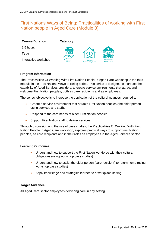### <span id="page-16-0"></span>First Nations Ways of Being: Practicalities of working with First Nation people in Aged Care (Module 3)

| <b>Course Duration</b> | Category         |                                 |                                        |
|------------------------|------------------|---------------------------------|----------------------------------------|
| 1.5 hours              | $\boldsymbol{T}$ |                                 |                                        |
| Type                   |                  |                                 |                                        |
| Interactive workshop   | <b>CHSP</b>      | Home &<br><b>Community Care</b> | <b>Residential</b><br><b>Aged Care</b> |

#### **Program Information**

The Practicalities Of Working With First Nation People In Aged Care workshop is the third module in the First Nations Ways of Being series. This series is designed to increase the capability of Aged Services providers, to create service environments that attract and welcome First Nation peoples, both as care recipients and as employees.

The series' objective is to increase the application of the cultural nuances required to:

- Create a service environment that attracts First Nation peoples (the older person using services and staff).
- Respond to the care needs of older First Nation peoples.
- Support First Nation staff to deliver services.

Through discussion and the use of case studies, the Practicalities Of Working With First Nation People In Aged Care workshop, explores practical ways to support First Nation peoples, as care recipients and in their roles as employees in the Aged Services sector.

#### **Learning Outcomes**

- Understand how to support the First Nation workforce with their cultural obligations (using workshop case studies)
- Understand how to assist the older person (care recipient) to return home (using workshop case studies)
- Apply knowledge and strategies learned to a workplace setting

#### **Target Audience**

<span id="page-16-1"></span>All Aged Care sector employees delivering care in any setting.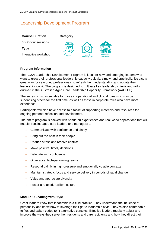### Leadership Development Program



#### **Program Information**

The ACSA Leadership Development Program is ideal for new and emerging leaders who want to grow their professional leadership capacity quickly, simply, and practically. It's also a great way for seasoned professionals to refresh their understanding and update their leadership toolkit. The program is designed to cultivate key leadership criteria and skills outlined in the Australian Aged Care Leadership Capability Framework (AACLCF)

The series is just as suitable for those in operational and clinical roles who may be supervising others for the first time, as well as those in corporate roles who have more experience.

Participants will also have access to a toolkit of supporting materials and resources for ongoing personal reflection and development.

The entire program is packed with hands-on experiences and real-world applications that will enable frontline aged care leaders and managers to:

- Communicate with confidence and clarity
- Bring out the best in their people
- Reduce stress and resolve conflict
- Make positive, timely decisions
- Delegate with confidence
- Grow agile, high-performing teams
- Respond calmly in high-pressure and emotionally volatile contexts
- Maintain strategic focus and service delivery in periods of rapid change
- Value and appreciate diversity
- Foster a relaxed, resilient culture

#### **Module 1: Leading with Style**

Great leaders know that leadership is a fluid practice. They understand the influence of personality and know how to leverage their go-to leadership style. They're also comfortable to flex and switch codes to fit alternative contexts. Effective leaders regularly adjust and improve the ways they serve their residents and care recipients and how they direct their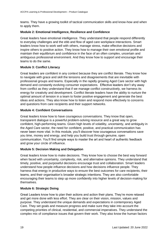teams. They have a growing toolkit of tactical communication skills and know-how and when to apply them.

#### **Module 2: Emotional Intelligence, Resilience and Confidence**

Great leaders have emotional intelligence. They understand that people respond differently to everyday challenges and the ebb and flow of aged care workplace interactions. Smart leaders know how to work well with others, manage stress, make effective decisions and inspire others to positive action. They know how to manage their own emotional profile and maintain their equilibrium and confidence in the face of an often complex, uncertain and ambiguous professional environment. And they know how to support and encourage their teams to do the same.

#### **Module 3: Conflict Literacy**

Great leaders are confident in any context because they are conflict literate. They know how to navigate with grace and skill the tensions and disagreements that are inevitable with professional groups and teams. Especially in the rapidly growing Aged Care sector with high demand and constantly evolving consumer expectations. Effective leaders don't shy away from conflict as they understand that if we manage conflict constructively, we harness its energy for creativity and development. Conflict literate leaders have the ability to nurture the optimal amount of tension in a team to foster positive engagement and generate the best ideas and actions. They also know how to listen and respond more effectively to concerns and questions from care recipients and their support networks.

#### **Module 4: Confident Conversations**

Great leaders know how to have courageous conversations. They know that open, transparent dialogue is a powerful problem-solving resource and a great way to grow confident, high-performing teams. Given high levels of volatility, uncertainty, and ambiguity in the Aged Care sector, the need for confident, positive, and practical communication has never been more vital. In this module, you'll discover how courageous conversations save you time, money and energy, and help you build trust through genuine, open communication. You'll find simple ways to master the art and heart of authentic feedback and grow your circle of influence.

#### **Module 5: Decision Making and Delegation**

Great leaders know how to make decisions. They know how to choose the best way forward when faced with uncertainty, complexity, risk, and alternative opinions. They understand that timely, positive, and purposeful decisions encourage trust and collaboration. Smart leaders understand how people influence decisions and how decisions influence people. They harness that energy in productive ways to ensure the best outcomes for care recipients, their teams, and their organisation's broader strategic intentions. They are also comfortable encouraging their teams to step up more confidently into higher levels of decision-making for themselves.

#### **Module 6: Strategic Doing**

Great Leaders know how to plan their actions and action their plans. They're more relaxed and get more done with less effort. They are clear on their vision, mission, values and purpose. They understand the unique demands and expectations in contemporary Aged Care. They set goals and measure progress and make sure they take into account the competing priorities of clinical, residential, and commercial imperatives. They understand the complex mix of compliance issues that govern their work. They also know the human factors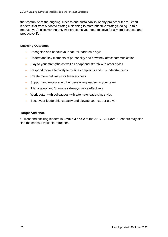that contribute to the ongoing success and sustainability of any project or team. Smart leaders shift from outdated strategic planning to more effective strategic doing. In this module, you'll discover the only two problems you need to solve for a more balanced and productive life.

#### **Learning Outcomes**

- Recognise and honour your natural leadership style
- Understand key elements of personality and how they affect communication
- Play to your strengths as well as adapt and stretch with other styles
- Respond more effectively to routine complaints and misunderstandings
- Create more pathways for team success
- Support and encourage other developing leaders in your team
- 'Manage up' and 'manage sideways' more effectively
- Work better with colleagues with alternate leadership styles
- Boost your leadership capacity and elevate your career growth

#### **Target Audience**

Current and aspiring leaders in **Levels 3 and 2** of the AACLCF. **Level 1** leaders may also find the series a valuable refresher.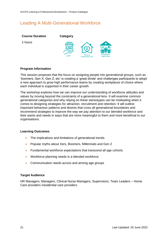# <span id="page-20-0"></span>Leading A Multi-Generational Workforce



#### **Program Information**

This session proposes that the focus on assigning people into generational groups, such as 'boomers, Gen X, Gen Z, etc' is creating a 'great divide' and challenges participants to adopt a new approach to grow high performance teams by creating workplaces of choice where each individual is supported in their career growth.

The workshop explores how we can improve our understanding of workforce attitudes and values by moving beyond the constraints of a generational lens. It will examine common generational categories and why relying on these stereotypes can be misleading when it comes to designing strategies for attraction, recruitment and retention. It will outline important behaviour patterns and desires that cross all generational boundaries and recommend strategies to improve the way we pay attention to our blended workforce and their wants and needs in ways that are more meaningful to them and more beneficial to our organisations.

#### **Learning Outcomes**

- The implications and limitations of generational trends
- Popular myths about Xers, Boomers, Millennials and Gen Z
- Fundamental workforce expectations that transcend all age cohorts
- Workforce planning needs in a blended workforce
- Communication needs across and among age groups

#### **Target Audience**

HR Managers, Managers, Clinical Nurse Managers, Supervisors, Team Leaders – Home Care providers /residential care providers.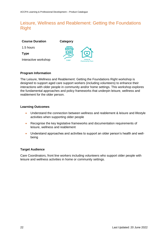# <span id="page-21-0"></span>Leisure, Wellness and Reablement: Getting the Foundations Right

| <b>Course Duration</b> | Category    |                                 |
|------------------------|-------------|---------------------------------|
| 1.5 hours              | 77 IV       |                                 |
| Type                   |             | Ø                               |
| Interactive workshop   | <b>CHSP</b> | Home &<br><b>Community Care</b> |

#### **Program Information**

The Leisure, Wellness and Reablement: Getting the Foundations Right workshop is designed to support aged care support workers (including volunteers) to enhance their interactions with older people in community and/or home settings. This workshop explores the fundamental approaches and policy frameworks that underpin leisure, wellness and reablement for the older person.

#### **Learning Outcomes**

- Understand the connection between wellness and reablement & leisure and lifestyle activities when supporting older people
- Recognise the key legislative frameworks and documentation requirements of leisure, wellness and reablement
- Understand approaches and activities to support an older person's health and wellbeing

#### **Target Audience**

Care Coordinators, front line workers including volunteers who support older people with leisure and wellness activities in home or community settings.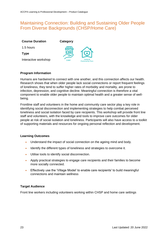### <span id="page-22-0"></span>Maintaining Connection: Building and Sustaining Older People From Diverse Backgrounds (CHSP/Home Care)

| <b>Course Duration</b> | Category    |                                 |
|------------------------|-------------|---------------------------------|
| 1.5 hours              | $T_{\rm T}$ |                                 |
| <b>Type</b>            |             |                                 |
| Interactive workshop   | <b>CHSP</b> | Home &<br><b>Community Care</b> |

#### **Program Information**

Humans are hardwired to connect with one another, and this connection affects our health. Research shows that when older people lack social connections or report frequent feelings of loneliness, they tend to suffer higher rates of morbidity and mortality, are prone to infection, depression, and cognitive decline. Meaningful connection is therefore a vital component to enable older people to maintain optimal health and a greater sense of wellbeing.

Frontline staff and volunteers in the home and community care sector play a key role in identifying social disconnection and implementing strategies to help combat perceived loneliness and social isolation faced by care recipients. This workshop will provide front line staff and volunteers, with the knowledge and tools to improve care outcomes for older people at risk of social isolation and loneliness. Participants will also have access to a toolkit of supporting materials and resources for ongoing personal reflection and development.

#### **Learning Outcomes**

- Understand the impact of social connection on the ageing mind and body.
- Identify the different types of loneliness and strategies to overcome it.
- Utilise tools to identify social disconnection.
- Apply practical strategies to engage care recipients and their families to become more socially connected.
- Effectively use the 'Village Model' to enable care recipients' to build meaningful connections and maintain wellness

#### **Target Audience**

Front line workers including volunteers working within CHSP and home care settings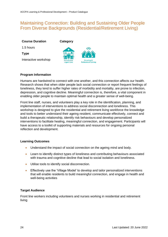### <span id="page-23-0"></span>Maintaining Connection: Building and Sustaining Older People From Diverse Backgrounds (Residential/Retirement Living)

#### **Course Duration**

1.5 hours

**Type**

Interactive workshop





#### **Program Information**

Humans are hardwired to connect with one another, and this connection affects our health. Research shows that when older people lack social connection or report frequent feelings of loneliness, they tend to suffer higher rates of morbidity and mortality, are prone to infection, depression, and cognitive decline. Meaningful connection is, therefore, a vital component in enabling older people to maintain optimal health and a greater sense of well-being.

Front line staff, nurses, and volunteers play a key role in the identification, planning, and implementation of interventions to address social disconnection and loneliness. This workshop is designed to give the residential and retirement living workforce the knowledge and tools to better understand their ageing resident, communicate effectively, connect and build a therapeutic relationship, identify risk behaviours and develop personalized interventions to facilitate healing, meaningful connection, and engagement. Participants will have access to a toolkit of supporting materials and resources for ongoing personal reflection and development.

#### **Learning Outcomes**

- Understand the impact of social connection on the ageing mind and body.
- Learn to identify distinct types of loneliness and contributing behaviours associated with trauma and cognitive decline that lead to social isolation and loneliness.
- Utilise tools to identify social disconnection.
- Effectively use the 'Village Model' to develop and tailor personalized interventions that will enable residents to build meaningful connection, and engage in health and well-being activities

#### **Target Audience**

Front line workers including volunteers and nurses working in residential and retirement living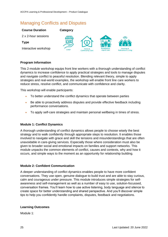# <span id="page-24-0"></span>Managing Conflicts and Disputes

#### **Course Duration**



#### **Program Information**

This 2-module workshop equips front line workers with a thorough understanding of conflict dynamics to increase confidence to apply practical strategies and tools to manage disputes and navigate conflict to peaceful resolution. Blending relevant theory, simple to apply strategies and real-world examples, the workshop will enable front line care workers to reduce stress, resolve conflict, and communicate with confidence and clarity.

This workshop will enable participants:

- To better understand the conflict dynamics that operate between parties
- Be able to proactively address disputes and provide effective feedback including performance conversations.
- To apply self-care strategies and maintain personal wellbeing in times of stress.

#### **Module 1: Conflict Dynamics**

A thorough understanding of conflict dynamics allows people to choose wisely the best strategy and to walk confidently through appropriate steps to resolution. It enables those involved to navigate with grace and skill the tensions and misunderstandings that are often unavoidable in care-giving services. Especially those where consideration must also be given to broader social and emotional impacts on families and support networks. This module unpacks the common elements of conflict, causes and contexts, why and how it occurs, and simple ways to the moment as an opportunity for relationship building.

#### **Module 2: Confident Communication**

A deeper understanding of conflict dynamics enables people to have more confident conversations. They use open, genuine dialogue to build trust and are able to stay curious, calm and courageous under pressure. This module introduces simple strategies for selfawareness and self-management as well as a number of easy to use, solution-focussed, conversation frames. You'll learn how to use active listening, body language and silence to create space for better understanding and shared perspective. And you'll discover simple tips to help you confidently handle complaints, disputes, feedback and negotiations.

#### **Learning Outcomes**

Module 1: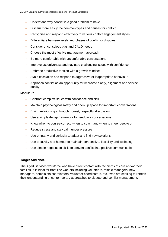- Understand why conflict is a good problem to have
- Discern more easily the common types and causes for conflict
- Recognise and respond effectively to various conflict engagement styles
- Differentiate between levels and phases of conflict or disputes
- Consider unconscious bias and CALD needs
- Choose the most effective management approach
- Be more comfortable with uncomfortable conversations
- Improve assertiveness and navigate challenging issues with confidence
- Embrace productive tension with a growth mindset
- Avoid escalation and respond to aggressive or inappropriate behaviour
- Approach conflict as an opportunity for improved clarity, alignment and service quality

Module 2:

- Confront complex issues with confidence and skill
- Maintain psychological safety and open up space for important conversations
- Enrich relationships through honest, respectful discussion
- Use a simple 4-step framework for feedback conversations
- Know when to course-correct, when to coach and when to cheer people on
- Reduce stress and stay calm under pressure
- Use empathy and curiosity to adapt and find new solutions
- Use creativity and humour to maintain perspective, flexibility and wellbeing
- Use simple negotiation skills to convert conflict into positive communication

#### **Target Audience**

The Aged Services workforce who have direct contact with recipients of care and/or their families. It is ideal for front line workers including volunteers, middle managers, new managers, complaints coordinators, volunteer coordinators, etc., who are seeking to refresh their understanding of contemporary approaches to dispute and conflict management.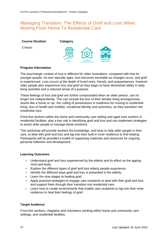# <span id="page-26-0"></span>Managing Transition: The Effects of Grief and Loss When Moving From Home To Residential Care

| <b>Course Duration</b> | Category     |                       |                    |
|------------------------|--------------|-----------------------|--------------------|
| 2 hours                | $\sqrt{111}$ | Home &                | <b>Residential</b> |
|                        | <b>CHSP</b>  | <b>Community Care</b> | <b>Aged Care</b>   |

#### **Program Information**

The psychologic context of loss is different for older Australians, compared with that for younger people. As one naturally ages, loss becomes inevitable as changes occur, and grief is experienced. Loss occurs at the death of loved ones, friends, and acquaintances, however older people also experience loss and grief as they begin to have diminished ability in daily living activities and a reduced sense of a purpose.

These feelings of loss and grief are further compounded when an older person, can no longer live independently. This can include the loss of their familiar living arrangements, assets like a home or car, the culling of possessions in readiness for moving to residential living, loss of health and mobility, vocational identity and autonomy, as they transition into residential care.

Front line workers within the home and community care setting and aged care workers in residential facilities, play a key role in identifying grief and loss and can implement strategies to assist older people to manage these emotions.

This workshop will provide workers the knowledge, and tools to help older people in their care, to deal with grief and loss and tap into their built-in inner resilience to find healing. Participants will be provided a toolkit of supporting materials and resources for ongoing personal reflection and development.

#### **Learning Outcomes**

- Understand grief and loss experienced by the elderly and its effect on the ageing mind and body.
- Explore the different types of grief and loss elderly people experience.
- Identify the different ways grief and loss is presented in the elderly.
- Learn the nine stages to healing grief.
- Apply practical strategies to engage care recipients to deal with their grief and loss and support them through their transition into residential care.
- Learn how to create environments that enable care recipients to tap into their inner resilience to heal their feelings of grief.

#### **Target Audience**

Front line workers, chaplains and volunteers working within home and community care settings, and residential facilities.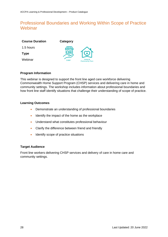# <span id="page-27-0"></span>Professional Boundaries and Working Within Scope of Practice **Webinar**

| <b>Course Duration</b> | Category    |                                 |
|------------------------|-------------|---------------------------------|
| 1.5 hours              | 71 W        |                                 |
| <b>Type</b>            |             |                                 |
| Webinar                | <b>CHSP</b> | Home &<br><b>Community Care</b> |

#### **Program Information**

This webinar is designed to support the front line aged care workforce delivering Commonwealth Home Support Program (CHSP) services and delivering care in home and community settings. The workshop includes information about professional boundaries and how front line staff identify situations that challenge their understanding of scope of practice.

#### **Learning Outcomes**

- Demonstrate an understanding of professional boundaries
- Identify the impact of the home as the workplace
- Understand what constitutes professional behaviour
- Clarify the difference between friend and friendly
- Identify scope of practice situations

#### **Target Audience**

Front line workers delivering CHSP services and delivery of care in home care and community settings.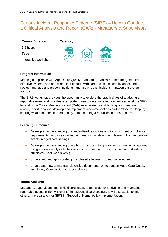### <span id="page-28-0"></span>Serious Incident Response Scheme (SIRS) – How to Conduct a Critical Analysis and Report (CAR) - Managers & Supervisors

| <b>Course Duration</b> | Category           |                                 |                                        |
|------------------------|--------------------|---------------------------------|----------------------------------------|
| 1.5 hours              | $T\!I\!I\!I\!I\!I$ |                                 |                                        |
| <b>Type</b>            |                    |                                 |                                        |
| Interactive workshop   | <b>CHSP</b>        | Home &<br><b>Community Care</b> | <b>Residential</b><br><b>Aged Care</b> |

#### **Program Information**

Meeting compliance with Aged Care Quality Standard 8 (Clinical Governance), requires effective systems and processes that engage with care recipients, identify abuse and neglect, manage and prevent incidents, and use a robust incident management system approach.

The SIRS workshop provides the opportunity to explore the practicalities of analysing a reportable event and provides a template to use to determine requirements against the SIRS legislation. A Critical Analysis Report (CAR) uses systems and techniques to respond, record, report, analyse, develop and implement recommendations and to 'close the loop' by sharing what has been learned and by demonstrating a reduction in rates of harm.

#### **Learning Outcomes**

- Develop an understanding of standardised resources and tools, to meet compliance requirements, for those involved in managing, analysing and learning from reportable events in aged care settings.
- Develop an understanding of methods, tools and templates for incident investigations using systems analysis techniques such as human factors, just culture and safety II principles (*what we did well*.)
- Understand and apply 5-step principles of effective incident management.
- Understand how to maintain defensive documentation to support Aged Care Quality and Safety Commission audit compliance

#### **Target Audience**

<span id="page-28-1"></span>Managers, supervisors, and clinical care leads, responsible for analysing and managing reportable events (Priority 1 events) in residential care settings. It will also assist to inform others, in preparation for SIRS in 'Support at Home' policy implementation.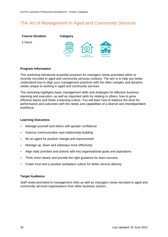# The Art of Management in Aged and Community Services



#### **Program Information**

This workshop introduces essential practices for managers newly promoted within or recently recruited to aged and community services contexts. The aim is to help you better understand how to align your management practices with the often complex and dynamic needs unique to working in aged and community services.

The workshop highlights basic management skills and strategies for effective business planning and execution, as well as important skills for relating to others, how to grow effective teams and foster a learning culture. You will learn how to balance the drive for performance and outcomes with the needs and capabilities of a diverse and interdependent workforce.

#### **Learning Outcomes**

- Manage yourself and others with greater confidence
- Improve communication and relationship-building
- Be an agent for positive change and improvement
- Manage up, down and sideways more effectively
- Align daily priorities and actions with key organisational goals and aspirations
- Think more clearly and provide the right guidance for team success
- Foster trust and a positive workplace culture for better service delivery

#### **Target Audience**

Staff newly promoted to management roles as well as managers newly recruited to aged and community services organisations from other business sectors.